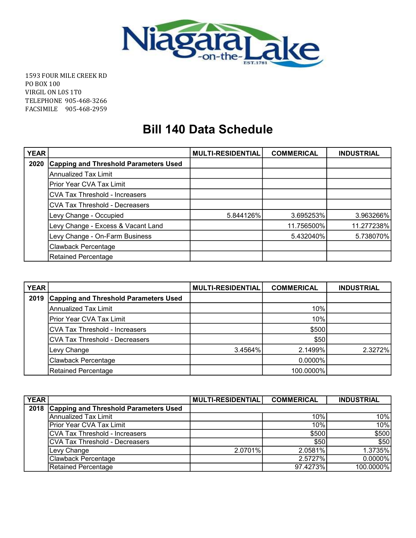

1593 FOUR MILE CREEK RD PO BOX 100 VIRGIL ON L0S 1T0 TELEPHONE 905-468-3266 FACSIMILE 905-468-2959

## Bill 140 Data Schedule

| <b>YEAR</b> |                                              | <b>MULTI-RESIDENTIAL</b> | <b>COMMERICAL</b> | <b>INDUSTRIAL</b> |
|-------------|----------------------------------------------|--------------------------|-------------------|-------------------|
| 2020        | <b>Capping and Threshold Parameters Used</b> |                          |                   |                   |
|             | <b>Annualized Tax Limit</b>                  |                          |                   |                   |
|             | Prior Year CVA Tax Limit                     |                          |                   |                   |
|             | <b>CVA Tax Threshold - Increasers</b>        |                          |                   |                   |
|             | <b>CVA Tax Threshold - Decreasers</b>        |                          |                   |                   |
|             | Levy Change - Occupied                       | 5.844126%                | 3.695253%         | 3.963266%         |
|             | Levy Change - Excess & Vacant Land           |                          | 11.756500%        | 11.277238%        |
|             | Levy Change - On-Farm Business               |                          | 5.432040%         | 5.738070%         |
|             | <b>Clawback Percentage</b>                   |                          |                   |                   |
|             | <b>Retained Percentage</b>                   |                          |                   |                   |

| <b>YEAR</b> |                                              | <b>MULTI-RESIDENTIAL</b> | <b>COMMERICAL</b> | <b>INDUSTRIAL</b> |
|-------------|----------------------------------------------|--------------------------|-------------------|-------------------|
| 2019        | <b>Capping and Threshold Parameters Used</b> |                          |                   |                   |
|             | Annualized Tax Limit                         |                          | 10%               |                   |
|             | Prior Year CVA Tax Limit                     |                          | 10%               |                   |
|             | <b>CVA Tax Threshold - Increasers</b>        |                          | \$500             |                   |
|             | <b>CVA Tax Threshold - Decreasers</b>        |                          | \$50              |                   |
|             | Levy Change                                  | 3.4564%                  | 2.1499%           | 2.3272%           |
|             | Clawback Percentage                          |                          | $0.0000\%$        |                   |
|             | Retained Percentage                          |                          | 100.0000%         |                   |

| <b>YEAR</b> |                                       | <b>MULTI-RESIDENTIAL</b> | <b>COMMERICAL</b> | <b>INDUSTRIAL</b> |
|-------------|---------------------------------------|--------------------------|-------------------|-------------------|
| 2018        | Capping and Threshold Parameters Used |                          |                   |                   |
|             | Annualized Tax Limit                  |                          | 10%               | 10%               |
|             | Prior Year CVA Tax Limit              |                          | 10%               | 10%               |
|             | CVA Tax Threshold - Increasers        |                          | \$500             | \$500             |
|             | CVA Tax Threshold - Decreasers        |                          | \$50              | \$50              |
|             | Levy Change                           | 2.0701%                  | 2.0581%           | 1.3735%           |
|             | Clawback Percentage                   |                          | 2.5727%           | $0.0000\%$        |
|             | Retained Percentage                   |                          | 97.4273%          | 100.0000%         |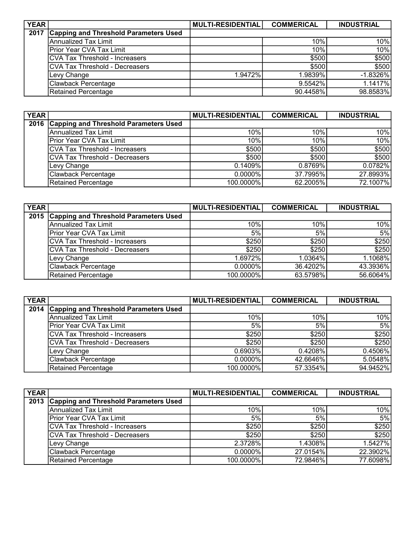| <b>YEAR</b> |                                              | <b>MULTI-RESIDENTIAL</b> | <b>COMMERICAL</b> | <b>INDUSTRIAL</b> |
|-------------|----------------------------------------------|--------------------------|-------------------|-------------------|
| 2017        | <b>Capping and Threshold Parameters Used</b> |                          |                   |                   |
|             | Annualized Tax Limit                         |                          | 10%               | 10%               |
|             | Prior Year CVA Tax Limit                     |                          | 10%               | 10%               |
|             | ICVA Tax Threshold - Increasers              |                          | \$500             | \$500             |
|             | ICVA Tax Threshold - Decreasers              |                          | \$500             | \$500             |
|             | Levy Change                                  | 1.9472%                  | 1.9839%           | $-1.8326\%$       |
|             | Clawback Percentage                          |                          | 9.5542%           | 1.1417%           |
|             | Retained Percentage                          |                          | 90.4458%          | 98.8583%          |

| <b>YEAR</b> |                                       | <b>MULTI-RESIDENTIAL</b> | <b>COMMERICAL</b> | <b>INDUSTRIAL</b> |
|-------------|---------------------------------------|--------------------------|-------------------|-------------------|
| 2016        | Capping and Threshold Parameters Used |                          |                   |                   |
|             | Annualized Tax Limit                  | 10%                      | 10%               | 10%               |
|             | Prior Year CVA Tax Limit              | 10%                      | 10%               | 10%               |
|             | CVA Tax Threshold - Increasers        | \$500                    | \$500             | \$500             |
|             | CVA Tax Threshold - Decreasers        | \$500                    | \$500             | \$500             |
|             | Levy Change                           | 0.1409%                  | 0.8769%           | 0.0782%           |
|             | Clawback Percentage                   | $0.0000\%$               | 37.7995%          | 27.8993%          |
|             | Retained Percentage                   | 100.0000%                | 62.2005%          | 72.1007%          |

| <b>YEAR</b> |                                            | <b>MULTI-RESIDENTIAL</b> | <b>COMMERICAL</b> | <b>INDUSTRIAL</b> |
|-------------|--------------------------------------------|--------------------------|-------------------|-------------------|
|             | 2015 Capping and Threshold Parameters Used |                          |                   |                   |
|             | Annualized Tax Limit                       | 10%                      | 10%               | 10%               |
|             | <b>IPrior Year CVA Tax Limit</b>           | 5%                       | 5%                | 5%                |
|             | ICVA Tax Threshold - Increasers            | \$250                    | \$250             | \$250]            |
|             | ICVA Tax Threshold - Decreasers            | \$250                    | \$250             | \$250             |
|             | Levy Change                                | 1.6972%                  | 1.0364%           | 1.1068%           |
|             | Clawback Percentage                        | $0.0000\%$               | 36.4202%          | 43.3936%          |
|             | Retained Percentage                        | 100.0000%                | 63.5798%          | 56.6064%          |

| <b>YEAR</b> |                                       | MULTI-RESIDENTIAL | <b>COMMERICAL</b> | <b>INDUSTRIAL</b> |
|-------------|---------------------------------------|-------------------|-------------------|-------------------|
| 2014        | Capping and Threshold Parameters Used |                   |                   |                   |
|             | Annualized Tax Limit                  | 10%               | 10%               | 10%               |
|             | Prior Year CVA Tax Limit              | 5%                | 5%                | 5%                |
|             | CVA Tax Threshold - Increasers        | \$250             | \$250             | \$250             |
|             | CVA Tax Threshold - Decreasers        | \$250             | \$250             | \$250             |
|             | Levy Change                           | 0.6903%           | 0.4208%           | 0.4506%           |
|             | Clawback Percentage                   | $0.0000\%$        | 42.6646%          | 5.0548%           |
|             | Retained Percentage                   | 100.0000%         | 57.3354%          | 94.9452%          |

| <b>YEAR</b> |                                              | MULTI-RESIDENTIAL | <b>COMMERICAL</b> | <b>INDUSTRIAL</b> |
|-------------|----------------------------------------------|-------------------|-------------------|-------------------|
| 2013        | <b>Capping and Threshold Parameters Used</b> |                   |                   |                   |
|             | Annualized Tax Limit                         | 10%               | 10%               | 10%               |
|             | Prior Year CVA Tax Limit                     | 5%                | 5%                | 5%                |
|             | CVA Tax Threshold - Increasers               | \$250             | \$250             | \$250]            |
|             | <b>CVA Tax Threshold - Decreasers</b>        | \$250             | \$250             | \$250             |
|             | Levy Change                                  | 2.3728%           | 1.4308%           | 1.5427%           |
|             | Clawback Percentage                          | $0.0000\%$        | 27.0154%          | 22.3902%          |
|             | Retained Percentage                          | 100.0000%         | 72.9846%          | 77.6098%          |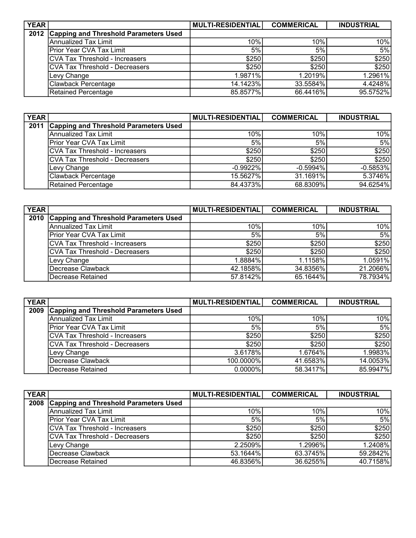| <b>YEAR</b> |                                       | <b>MULTI-RESIDENTIAL</b> | <b>COMMERICAL</b> | <b>INDUSTRIAL</b> |
|-------------|---------------------------------------|--------------------------|-------------------|-------------------|
| 2012        | Capping and Threshold Parameters Used |                          |                   |                   |
|             | Annualized Tax Limit                  | 10%                      | 10%               | 10%               |
|             | Prior Year CVA Tax Limit              | 5%                       | 5%                | 5%                |
|             | <b>CVA Tax Threshold - Increasers</b> | \$250                    | \$250             | \$250]            |
|             | CVA Tax Threshold - Decreasers        | \$250                    | \$250             | \$250             |
|             | Levy Change                           | 1.9871%                  | 1.2019%           | 1.2961%           |
|             | Clawback Percentage                   | 14.1423%                 | 33.5584%          | 4.4248%           |
|             | Retained Percentage                   | 85.8577%                 | 66.4416%          | 95.5752%          |

| <b>YEAR</b> |                                       | <b>MULTI-RESIDENTIAL</b> | <b>COMMERICAL</b> | <b>INDUSTRIAL</b> |
|-------------|---------------------------------------|--------------------------|-------------------|-------------------|
| 2011        | Capping and Threshold Parameters Used |                          |                   |                   |
|             | Annualized Tax Limit                  | 10%                      | 10%               | 10%               |
|             | Prior Year CVA Tax Limit              | 5%                       | 5%                | 5%                |
|             | CVA Tax Threshold - Increasers        | \$250                    | \$250             | \$250]            |
|             | <b>CVA Tax Threshold - Decreasers</b> | \$250                    | \$250             | \$250             |
|             | Levy Change                           | $-0.9922%$               | $-0.5994%$        | $-0.5853%$        |
|             | <b>Clawback Percentage</b>            | 15.5627%                 | 31.1691%          | 5.3746%           |
|             | Retained Percentage                   | 84.4373%                 | 68.8309%          | 94.6254%          |

| <b>YEAR</b> |                                       | <b>MULTI-RESIDENTIAL</b> | <b>COMMERICAL</b> | <b>INDUSTRIAL</b> |
|-------------|---------------------------------------|--------------------------|-------------------|-------------------|
| 2010        | Capping and Threshold Parameters Used |                          |                   |                   |
|             | Annualized Tax Limit                  | 10%                      | 10%               | 10%               |
|             | <b>IPrior Year CVA Tax Limit</b>      | 5%                       | 5%                | 5%                |
|             | ICVA Tax Threshold - Increasers       | \$250                    | \$250             | \$250             |
|             | ICVA Tax Threshold - Decreasers       | \$250                    | \$250             | \$250             |
|             | Levy Change                           | 1.8884%                  | 1.1158%           | 1.0591%           |
|             | Decrease Clawback                     | 42.1858%                 | 34.8356%          | 21.2066%          |
|             | Decrease Retained                     | 57.8142%                 | 65.1644%          | 78.7934%          |

| <b>YEAR</b> |                                       | <b>MULTI-RESIDENTIAL</b> | <b>COMMERICAL</b> | <b>INDUSTRIAL</b> |
|-------------|---------------------------------------|--------------------------|-------------------|-------------------|
| 2009        | Capping and Threshold Parameters Used |                          |                   |                   |
|             | İAnnualized Tax Limit                 | 10%                      | 10%               | 10%               |
|             | Prior Year CVA Tax Limit              | 5%                       | 5%                | 5%                |
|             | ICVA Tax Threshold - Increasers       | \$250                    | \$250             | \$250             |
|             | ICVA Tax Threshold - Decreasers       | \$250                    | \$250             | \$250             |
|             | Levy Change                           | 3.6178%                  | 1.6764%           | 1.9983%           |
|             | Decrease Clawback                     | 100.0000%                | 41.6583%          | 14.0053%          |
|             | Decrease Retained                     | $0.0000\%$               | 58.3417%          | 85.9947%          |

| <b>YEAR</b> |                                              | MULTI-RESIDENTIAL | <b>COMMERICAL</b> | <b>INDUSTRIAL</b> |
|-------------|----------------------------------------------|-------------------|-------------------|-------------------|
| 2008        | <b>Capping and Threshold Parameters Used</b> |                   |                   |                   |
|             | Annualized Tax Limit                         | 10%               | 10%               | 10%               |
|             | Prior Year CVA Tax Limit                     | 5%                | 5%                | 5%                |
|             | <b>ICVA Tax Threshold - Increasers</b>       | \$250             | \$250             | \$250]            |
|             | ICVA Tax Threshold - Decreasers              | \$250             | \$250             | \$250             |
|             | Levy Change                                  | 2.2509%           | 1.2996%           | 1.2408%           |
|             | Decrease Clawback                            | 53.1644%          | 63.3745%          | 59.2842%          |
|             | Decrease Retained                            | 46.8356%          | 36.6255%          | 40.7158%          |